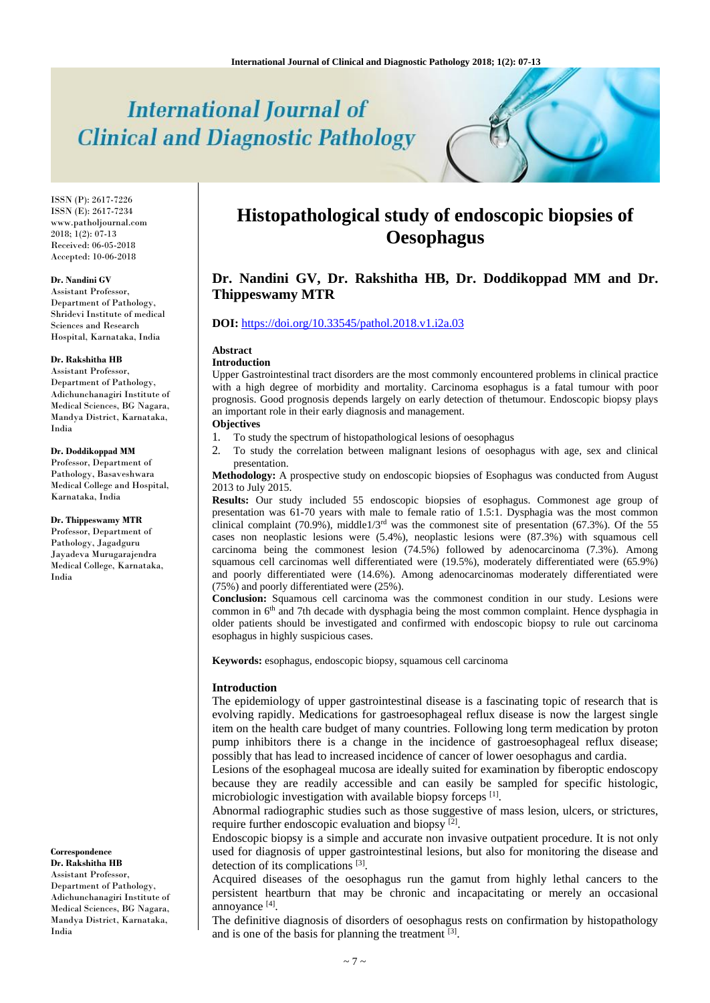# **International Journal of Clinical and Diagnostic Pathology**

ISSN (P): 2617-7226 ISSN (E): 2617-7234 www.patholjournal.com  $2018$ ;  $1(2)$ :  $07-13$ Received: 06-05-2018 Accepted: 10-06-2018

#### **Dr. Nandini GV**

Assistant Professor, Department of Pathology, Shridevi Institute of medical Sciences and Research Hospital, Karnataka, India

#### **Dr. Rakshitha HB**

Assistant Professor, Department of Pathology, Adichunchanagiri Institute of Medical Sciences, BG Nagara, Mandya District, Karnataka, India

#### **Dr. Doddikoppad MM**

Professor, Department of Pathology, Basaveshwara Medical College and Hospital, Karnataka, India

#### **Dr. Thippeswamy MTR**

Professor, Department of Pathology, Jagadguru Jayadeva Murugarajendra Medical College, Karnataka, India

**Correspondence Dr. Rakshitha HB** Assistant Professor, Department of Pathology, Adichunchanagiri Institute of Medical Sciences, BG Nagara, Mandya District, Karnataka, India

# **Histopathological study of endoscopic biopsies of Oesophagus**

# **Dr. Nandini GV, Dr. Rakshitha HB, Dr. Doddikoppad MM and Dr. Thippeswamy MTR**

#### **DOI:** <https://doi.org/10.33545/pathol.2018.v1.i2a.03>

#### **Abstract**

#### **Introduction**

Upper Gastrointestinal tract disorders are the most commonly encountered problems in clinical practice with a high degree of morbidity and mortality. Carcinoma esophagus is a fatal tumour with poor prognosis. Good prognosis depends largely on early detection of thetumour. Endoscopic biopsy plays an important role in their early diagnosis and management.

# **Objectives**

- 1. To study the spectrum of histopathological lesions of oesophagus
- 2. To study the correlation between malignant lesions of oesophagus with age, sex and clinical presentation.

**Methodology:** A prospective study on endoscopic biopsies of Esophagus was conducted from August 2013 to July 2015.

**Results:** Our study included 55 endoscopic biopsies of esophagus. Commonest age group of presentation was 61-70 years with male to female ratio of 1.5:1. Dysphagia was the most common clinical complaint (70.9%), middle1/3<sup>rd</sup> was the commonest site of presentation (67.3%). Of the 55 cases non neoplastic lesions were (5.4%), neoplastic lesions were (87.3%) with squamous cell carcinoma being the commonest lesion (74.5%) followed by adenocarcinoma (7.3%). Among squamous cell carcinomas well differentiated were (19.5%), moderately differentiated were (65.9%) and poorly differentiated were (14.6%). Among adenocarcinomas moderately differentiated were (75%) and poorly differentiated were (25%).

**Conclusion:** Squamous cell carcinoma was the commonest condition in our study. Lesions were common in 6<sup>th</sup> and 7th decade with dysphagia being the most common complaint. Hence dysphagia in older patients should be investigated and confirmed with endoscopic biopsy to rule out carcinoma esophagus in highly suspicious cases.

**Keywords:** esophagus, endoscopic biopsy, squamous cell carcinoma

#### **Introduction**

The epidemiology of upper gastrointestinal disease is a fascinating topic of research that is evolving rapidly. Medications for gastroesophageal reflux disease is now the largest single item on the health care budget of many countries. Following long term medication by proton pump inhibitors there is a change in the incidence of gastroesophageal reflux disease; possibly that has lead to increased incidence of cancer of lower oesophagus and cardia.

Lesions of the esophageal mucosa are ideally suited for examination by fiberoptic endoscopy because they are readily accessible and can easily be sampled for specific histologic, microbiologic investigation with available biopsy forceps [1].

Abnormal radiographic studies such as those suggestive of mass lesion, ulcers, or strictures, require further endoscopic evaluation and biopsy<sup>[2]</sup>.

Endoscopic biopsy is a simple and accurate non invasive outpatient procedure. It is not only used for diagnosis of upper gastrointestinal lesions, but also for monitoring the disease and detection of its complications [3].

Acquired diseases of the oesophagus run the gamut from highly lethal cancers to the persistent heartburn that may be chronic and incapacitating or merely an occasional annoyance<sup>[4]</sup>.

The definitive diagnosis of disorders of oesophagus rests on confirmation by histopathology and is one of the basis for planning the treatment  $[3]$ .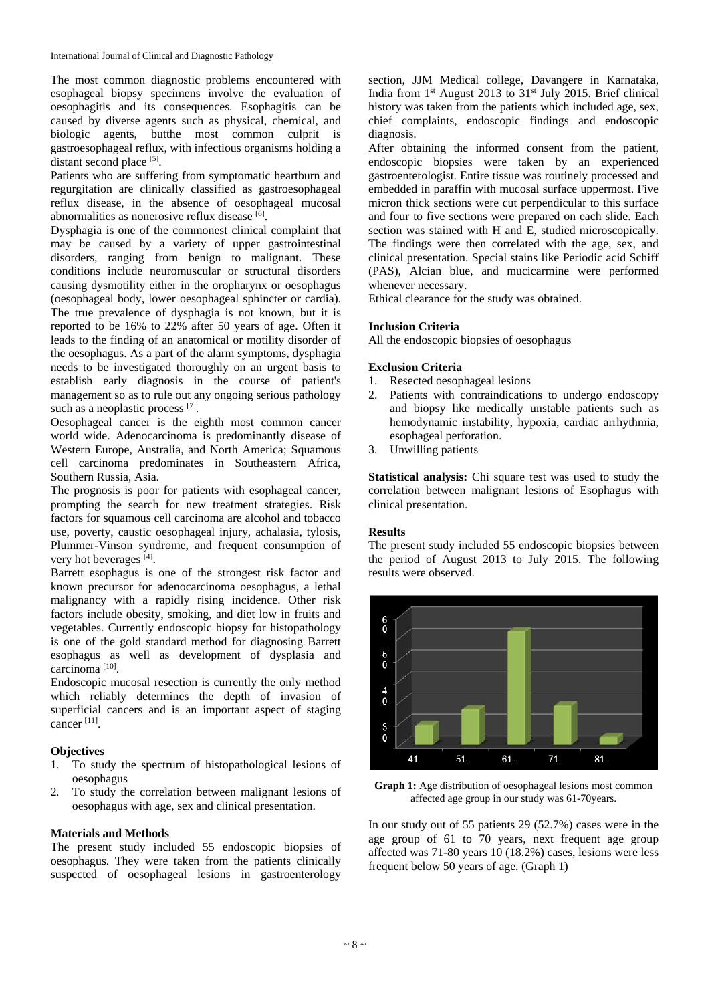The most common diagnostic problems encountered with esophageal biopsy specimens involve the evaluation of oesophagitis and its consequences. Esophagitis can be caused by diverse agents such as physical, chemical, and biologic agents, butthe most common culprit is gastroesophageal reflux, with infectious organisms holding a distant second place [5].

Patients who are suffering from symptomatic heartburn and regurgitation are clinically classified as gastroesophageal reflux disease, in the absence of oesophageal mucosal abnormalities as nonerosive reflux disease [6].

Dysphagia is one of the commonest clinical complaint that may be caused by a variety of upper gastrointestinal disorders, ranging from benign to malignant. These conditions include neuromuscular or structural disorders causing dysmotility either in the oropharynx or oesophagus (oesophageal body, lower oesophageal sphincter or cardia). The true prevalence of dysphagia is not known, but it is reported to be 16% to 22% after 50 years of age. Often it leads to the finding of an anatomical or motility disorder of the oesophagus. As a part of the alarm symptoms, dysphagia needs to be investigated thoroughly on an urgent basis to establish early diagnosis in the course of patient's management so as to rule out any ongoing serious pathology such as a neoplastic process [7].

Oesophageal cancer is the eighth most common cancer world wide. Adenocarcinoma is predominantly disease of Western Europe, Australia, and North America; Squamous cell carcinoma predominates in Southeastern Africa, Southern Russia, Asia.

The prognosis is poor for patients with esophageal cancer, prompting the search for new treatment strategies. Risk factors for squamous cell carcinoma are alcohol and tobacco use, poverty, caustic oesophageal injury, achalasia, tylosis, Plummer-Vinson syndrome, and frequent consumption of very hot beverages [4].

Barrett esophagus is one of the strongest risk factor and known precursor for adenocarcinoma oesophagus, a lethal malignancy with a rapidly rising incidence. Other risk factors include obesity, smoking, and diet low in fruits and vegetables. Currently endoscopic biopsy for histopathology is one of the gold standard method for diagnosing Barrett esophagus as well as development of dysplasia and carcinoma<sup>[10]</sup>.

Endoscopic mucosal resection is currently the only method which reliably determines the depth of invasion of superficial cancers and is an important aspect of staging cancer [11] .

## **Objectives**

- 1. To study the spectrum of histopathological lesions of oesophagus
- 2. To study the correlation between malignant lesions of oesophagus with age, sex and clinical presentation.

#### **Materials and Methods**

The present study included 55 endoscopic biopsies of oesophagus. They were taken from the patients clinically suspected of oesophageal lesions in gastroenterology

section, JJM Medical college, Davangere in Karnataka, India from  $1<sup>st</sup>$  August 2013 to 31 $<sup>st</sup>$  July 2015. Brief clinical</sup> history was taken from the patients which included age, sex, chief complaints, endoscopic findings and endoscopic diagnosis.

After obtaining the informed consent from the patient, endoscopic biopsies were taken by an experienced gastroenterologist. Entire tissue was routinely processed and embedded in paraffin with mucosal surface uppermost. Five micron thick sections were cut perpendicular to this surface and four to five sections were prepared on each slide. Each section was stained with H and E, studied microscopically. The findings were then correlated with the age, sex, and clinical presentation. Special stains like Periodic acid Schiff (PAS), Alcian blue, and mucicarmine were performed whenever necessary.

Ethical clearance for the study was obtained.

#### **Inclusion Criteria**

All the endoscopic biopsies of oesophagus

#### **Exclusion Criteria**

- 1. Resected oesophageal lesions
- 2. Patients with contraindications to undergo endoscopy and biopsy like medically unstable patients such as hemodynamic instability, hypoxia, cardiac arrhythmia, esophageal perforation.
- 3. Unwilling patients

**Statistical analysis:** Chi square test was used to study the correlation between malignant lesions of Esophagus with clinical presentation.

#### **Results**

The present study included 55 endoscopic biopsies between the period of August 2013 to July 2015. The following results were observed.



**Graph 1:** Age distribution of oesophageal lesions most common affected age group in our study was 61-70years.

In our study out of 55 patients 29 (52.7%) cases were in the age group of 61 to 70 years, next frequent age group affected was 71-80 years 10 (18.2%) cases, lesions were less frequent below 50 years of age. (Graph 1)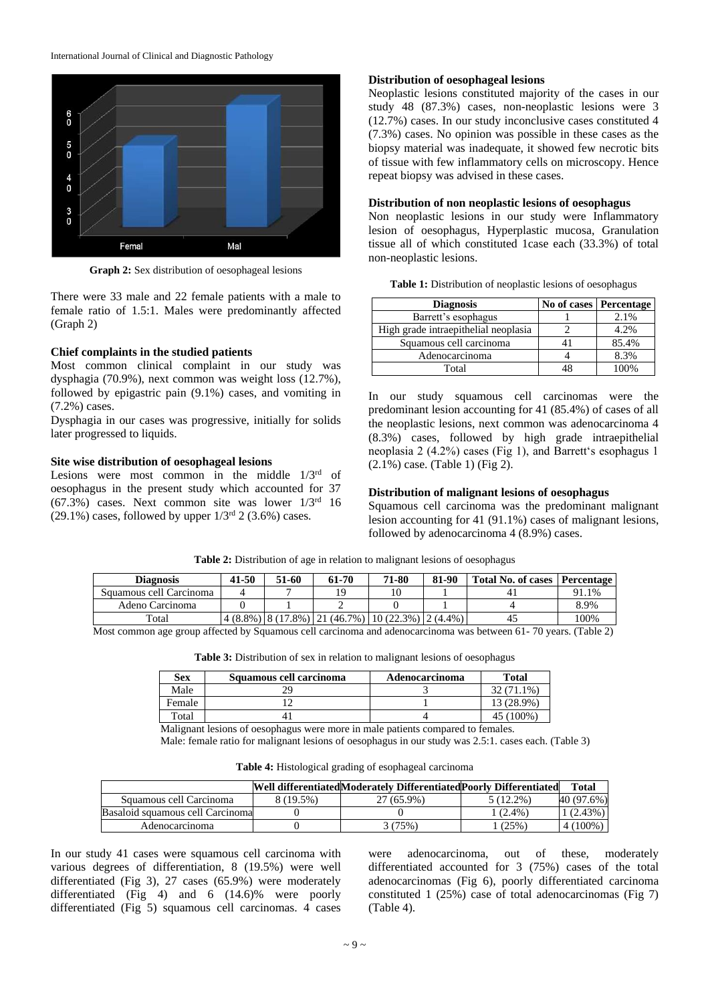

**Graph 2:** Sex distribution of oesophageal lesions

There were 33 male and 22 female patients with a male to female ratio of 1.5:1. Males were predominantly affected (Graph 2)

## **Chief complaints in the studied patients**

Most common clinical complaint in our study was dysphagia (70.9%), next common was weight loss (12.7%), followed by epigastric pain (9.1%) cases, and vomiting in (7.2%) cases.

Dysphagia in our cases was progressive, initially for solids later progressed to liquids.

#### **Site wise distribution of oesophageal lesions**

Lesions were most common in the middle  $1/3<sup>rd</sup>$  of oesophagus in the present study which accounted for 37  $(67.3\%)$  cases. Next common site was lower  $1/3<sup>rd</sup>$  16  $(29.1\%)$  cases, followed by upper  $1/3^{rd}$  2 (3.6%) cases.

#### **Distribution of oesophageal lesions**

Neoplastic lesions constituted majority of the cases in our study 48 (87.3%) cases, non-neoplastic lesions were 3 (12.7%) cases. In our study inconclusive cases constituted 4 (7.3%) cases. No opinion was possible in these cases as the biopsy material was inadequate, it showed few necrotic bits of tissue with few inflammatory cells on microscopy. Hence repeat biopsy was advised in these cases.

#### **Distribution of non neoplastic lesions of oesophagus**

Non neoplastic lesions in our study were Inflammatory lesion of oesophagus, Hyperplastic mucosa, Granulation tissue all of which constituted 1case each (33.3%) of total non-neoplastic lesions.

|  |  |  | Table 1: Distribution of neoplastic lesions of oesophagus |
|--|--|--|-----------------------------------------------------------|
|  |  |  |                                                           |

| <b>Diagnosis</b>                     | No of cases   Percentage |
|--------------------------------------|--------------------------|
| Barrett's esophagus                  | 2.1%                     |
| High grade intraepithelial neoplasia | 4.2%                     |
| Squamous cell carcinoma              | 85.4%                    |
| Adenocarcinoma                       | 8.3%                     |
| Total                                | 00%                      |

In our study squamous cell carcinomas were the predominant lesion accounting for 41 (85.4%) of cases of all the neoplastic lesions, next common was adenocarcinoma 4 (8.3%) cases, followed by high grade intraepithelial neoplasia 2 (4.2%) cases (Fig 1), and Barrett's esophagus 1  $(2.1\%)$  case. (Table 1) (Fig 2).

## **Distribution of malignant lesions of oesophagus**

Squamous cell carcinoma was the predominant malignant lesion accounting for 41 (91.1%) cases of malignant lesions, followed by adenocarcinoma 4 (8.9%) cases.

| <b>Diagnosis</b>        | 41-50 | 51-60 | 61-70                                                                  | 71-80 | 81-90 | Total No. of cases   Percentage |       |
|-------------------------|-------|-------|------------------------------------------------------------------------|-------|-------|---------------------------------|-------|
| Squamous cell Carcinoma |       |       |                                                                        | 10    |       |                                 | 91.1% |
| Adeno Carcinoma         |       |       |                                                                        |       |       |                                 | 8.9%  |
| Total                   |       |       | $(4.8\%)$ $(8.7\%)$ $(17.8\%)$ $(21.46.7\%)$ $(10.22.3\%)$ $(2.4.4\%)$ |       |       | 45                              | 100%  |

**Table 2:** Distribution of age in relation to malignant lesions of oesophagus

Most common age group affected by Squamous cell carcinoma and adenocarcinoma was between 61- 70 years. (Table 2)

Table 3: Distribution of sex in relation to malignant lesions of oesophagus

| <b>Sex</b> | Squamous cell carcinoma | Adenocarcinoma | <b>Total</b> |
|------------|-------------------------|----------------|--------------|
| Male       |                         |                | 32 (71.1%)   |
| Female     |                         |                | 13 (28.9%)   |
| Total      | 4.                      |                | 100%.        |

Malignant lesions of oesophagus were more in male patients compared to females.

Male: female ratio for malignant lesions of oesophagus in our study was 2.5:1. cases each. (Table 3)

**Table 4:** Histological grading of esophageal carcinoma

|                                   |           | Well differentiatedModerately DifferentiatedPoorly Differentiated |           | Total      |
|-----------------------------------|-----------|-------------------------------------------------------------------|-----------|------------|
| Squamous cell Carcinoma           | 8 (19.5%) | $27(65.9\%)$                                                      | 5 (12.2%) | 40 (97.6%) |
| Basaloid squamous cell Carcinomal |           |                                                                   | $(2.4\%)$ | 1(2.43%)   |
| Adenocarcinoma                    |           | (75%)                                                             | (25%)     | $4(100\%)$ |

In our study 41 cases were squamous cell carcinoma with various degrees of differentiation, 8 (19.5%) were well differentiated (Fig 3), 27 cases (65.9%) were moderately differentiated (Fig 4) and 6 (14.6)% were poorly differentiated (Fig 5) squamous cell carcinomas. 4 cases

were adenocarcinoma, out of these, moderately differentiated accounted for 3 (75%) cases of the total adenocarcinomas (Fig 6), poorly differentiated carcinoma constituted 1 (25%) case of total adenocarcinomas (Fig 7) (Table 4).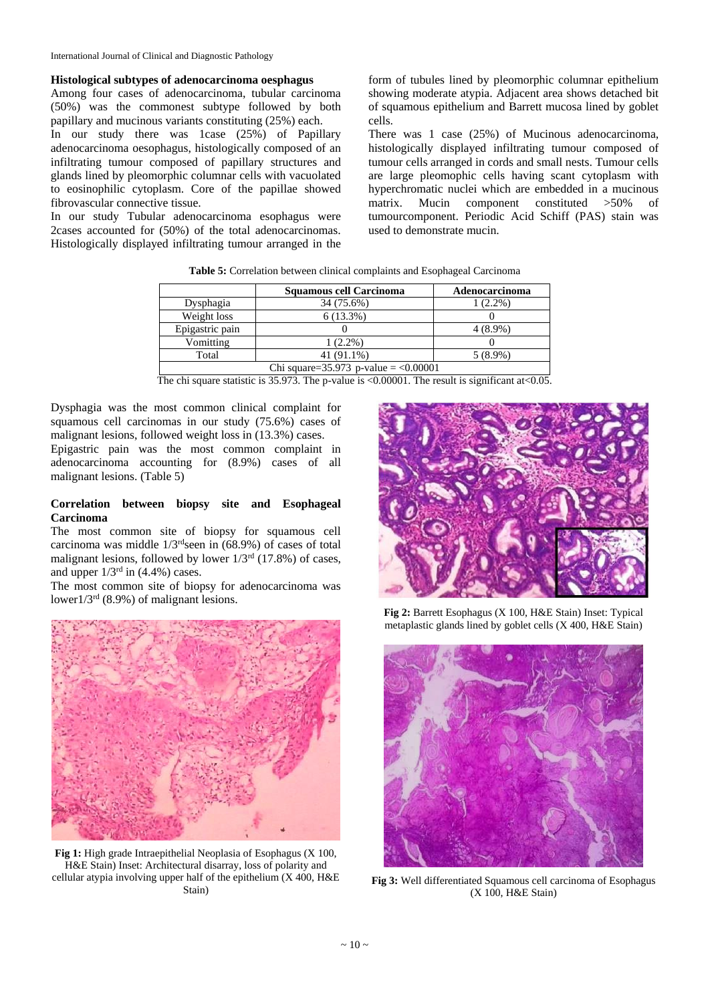#### **Histological subtypes of adenocarcinoma oesphagus**

Among four cases of adenocarcinoma, tubular carcinoma (50%) was the commonest subtype followed by both papillary and mucinous variants constituting (25%) each. In our study there was 1case (25%) of Papillary adenocarcinoma oesophagus, histologically composed of an infiltrating tumour composed of papillary structures and glands lined by pleomorphic columnar cells with vacuolated to eosinophilic cytoplasm. Core of the papillae showed fibrovascular connective tissue.

In our study Tubular adenocarcinoma esophagus were 2cases accounted for (50%) of the total adenocarcinomas. Histologically displayed infiltrating tumour arranged in the

form of tubules lined by pleomorphic columnar epithelium showing moderate atypia. Adjacent area shows detached bit of squamous epithelium and Barrett mucosa lined by goblet cells.

There was 1 case (25%) of Mucinous adenocarcinoma, histologically displayed infiltrating tumour composed of tumour cells arranged in cords and small nests. Tumour cells are large pleomophic cells having scant cytoplasm with hyperchromatic nuclei which are embedded in a mucinous matrix. Mucin component constituted >50% of tumourcomponent. Periodic Acid Schiff (PAS) stain was used to demonstrate mucin.

|                                            | Squamous cell Carcinoma | Adenocarcinoma |  |  |
|--------------------------------------------|-------------------------|----------------|--|--|
| Dysphagia                                  | 34 (75.6%)              | 1 (2.2%)       |  |  |
| Weight loss                                | $6(13.3\%)$             |                |  |  |
| Epigastric pain                            |                         | $4(8.9\%)$     |  |  |
| Vomitting                                  | $1(2.2\%)$              |                |  |  |
| Total                                      | 41 (91.1%)              | $5(8.9\%)$     |  |  |
| Chi square= $35.973$ p-value = $< 0.00001$ |                         |                |  |  |

**Table 5:** Correlation between clinical complaints and Esophageal Carcinoma

The chi square statistic is 35.973. The p-value is <0.00001. The result is significant at <0.05.

Dysphagia was the most common clinical complaint for squamous cell carcinomas in our study (75.6%) cases of malignant lesions, followed weight loss in (13.3%) cases. Epigastric pain was the most common complaint in

adenocarcinoma accounting for (8.9%) cases of all malignant lesions. (Table 5)

#### **Correlation between biopsy site and Esophageal Carcinoma**

The most common site of biopsy for squamous cell carcinoma was middle  $1/3^{\text{rd}}$ seen in (68.9%) of cases of total malignant lesions, followed by lower  $1/3<sup>rd</sup>$  (17.8%) of cases, and upper  $1/3<sup>rd</sup>$  in (4.4%) cases.

The most common site of biopsy for adenocarcinoma was lower1/3rd (8.9%) of malignant lesions.



**Fig 1:** High grade Intraepithelial Neoplasia of Esophagus (X 100, H&E Stain) Inset: Architectural disarray, loss of polarity and cellular atypia involving upper half of the epithelium (X 400, H&E Stain)



**Fig 2:** Barrett Esophagus (X 100, H&E Stain) Inset: Typical metaplastic glands lined by goblet cells (X 400, H&E Stain)



**Fig 3:** Well differentiated Squamous cell carcinoma of Esophagus (X 100, H&E Stain)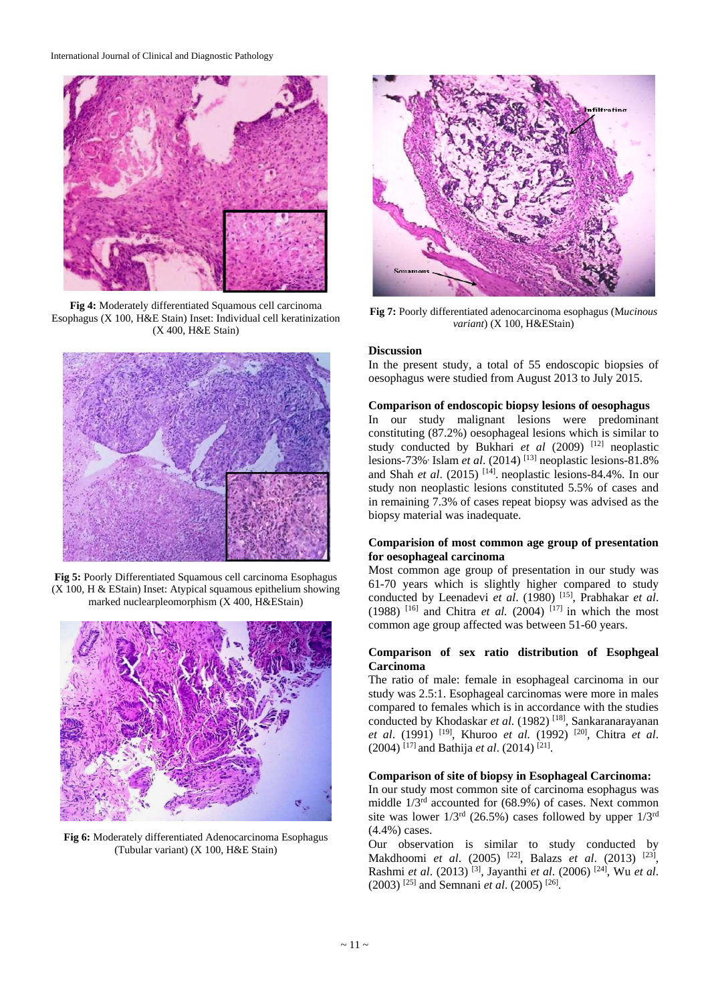

**Fig 4:** Moderately differentiated Squamous cell carcinoma Esophagus (X 100, H&E Stain) Inset: Individual cell keratinization (X 400, H&E Stain)



**Fig 5:** Poorly Differentiated Squamous cell carcinoma Esophagus (X 100, H & EStain) Inset: Atypical squamous epithelium showing marked nuclearpleomorphism (X 400, H&EStain)



**Fig 6:** Moderately differentiated Adenocarcinoma Esophagus (Tubular variant) (X 100, H&E Stain)



**Fig 7:** Poorly differentiated adenocarcinoma esophagus (M*ucinous variant*) (X 100, H&EStain)

#### **Discussion**

In the present study, a total of 55 endoscopic biopsies of oesophagus were studied from August 2013 to July 2015.

#### **Comparison of endoscopic biopsy lesions of oesophagus**

In our study malignant lesions were predominant constituting (87.2%) oesophageal lesions which is similar to study conducted by Bukhari et al (2009) [12] neoplastic lesions-73%<sup>,</sup> Islam *et al.* (2014)<sup>[13]</sup> neoplastic lesions-81.8% and Shah *et al.* (2015)<sup>[14]</sup>. neoplastic lesions-84.4%. In our study non neoplastic lesions constituted 5.5% of cases and in remaining 7.3% of cases repeat biopsy was advised as the biopsy material was inadequate.

#### **Comparision of most common age group of presentation for oesophageal carcinoma**

Most common age group of presentation in our study was 61-70 years which is slightly higher compared to study conducted by Leenadevi *et al*. (1980) [15] , Prabhakar *et al*.  $(1988)$ <sup>[16]</sup> and Chitra *et al.*  $(2004)$ <sup>[17]</sup> in which the most common age group affected was between 51-60 years.

#### **Comparison of sex ratio distribution of Esophgeal Carcinoma**

The ratio of male: female in esophageal carcinoma in our study was 2.5:1. Esophageal carcinomas were more in males compared to females which is in accordance with the studies conducted by Khodaskar et al. (1982)<sup>[18]</sup>, Sankaranarayanan *et al*. (1991) [19] , Khuroo *et al.* (1992) [20] , Chitra *et al*. (2004) [17] and Bathija *et al*. (2014) [21] .

### **Comparison of site of biopsy in Esophageal Carcinoma:**

In our study most common site of carcinoma esophagus was middle 1/3rd accounted for (68.9%) of cases. Next common site was lower  $1/3^{rd}$  (26.5%) cases followed by upper  $1/3^{rd}$ (4.4%) cases.

Our observation is similar to study conducted by Makdhoomi *et al.* (2005) <sup>[22]</sup>, Balazs *et al.* (2013) <sup>[23]</sup>, Rashmi *et al*. (2013) [3] , Jayanthi *et al*. (2006) [24] , Wu *et al*. (2003) [25] and Semnani *et al*. (2005) [26] .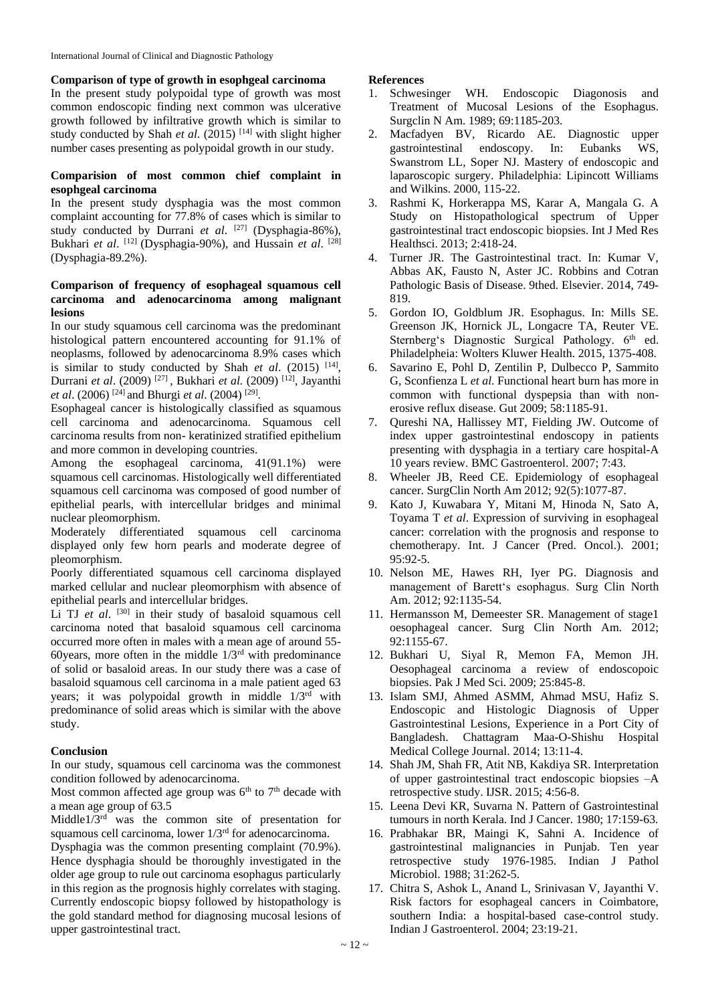#### **Comparison of type of growth in esophgeal carcinoma**

In the present study polypoidal type of growth was most common endoscopic finding next common was ulcerative growth followed by infiltrative growth which is similar to study conducted by Shah et al. (2015)<sup>[14]</sup> with slight higher number cases presenting as polypoidal growth in our study.

#### **Comparision of most common chief complaint in esophgeal carcinoma**

In the present study dysphagia was the most common complaint accounting for 77.8% of cases which is similar to study conducted by Durrani et al. <sup>[27]</sup> (Dysphagia-86%), Bukhari et al. <sup>[12]</sup> (Dysphagia-90%), and Hussain et al. <sup>[28]</sup> (Dysphagia-89.2%).

## **Comparison of frequency of esophageal squamous cell carcinoma and adenocarcinoma among malignant lesions**

In our study squamous cell carcinoma was the predominant histological pattern encountered accounting for 91.1% of neoplasms, followed by adenocarcinoma 8.9% cases which is similar to study conducted by Shah *et al.*  $(2015)$ <sup>[14]</sup>, Durrani *et al*. (2009) [27] , Bukhari *et al.* (2009) [12] , Jayanthi *et al*. (2006) [24] and Bhurgi *et al*. (2004) [29] .

Esophageal cancer is histologically classified as squamous cell carcinoma and adenocarcinoma. Squamous cell carcinoma results from non- keratinized stratified epithelium and more common in developing countries.

Among the esophageal carcinoma, 41(91.1%) were squamous cell carcinomas. Histologically well differentiated squamous cell carcinoma was composed of good number of epithelial pearls, with intercellular bridges and minimal nuclear pleomorphism.

Moderately differentiated squamous cell carcinoma displayed only few horn pearls and moderate degree of pleomorphism.

Poorly differentiated squamous cell carcinoma displayed marked cellular and nuclear pleomorphism with absence of epithelial pearls and intercellular bridges.

Li TJ et al. <sup>[30]</sup> in their study of basaloid squamous cell carcinoma noted that basaloid squamous cell carcinoma occurred more often in males with a mean age of around 55- 60years, more often in the middle  $1/3<sup>rd</sup>$  with predominance of solid or basaloid areas. In our study there was a case of basaloid squamous cell carcinoma in a male patient aged 63 years; it was polypoidal growth in middle  $1/3<sup>rd</sup>$  with predominance of solid areas which is similar with the above study.

#### **Conclusion**

In our study, squamous cell carcinoma was the commonest condition followed by adenocarcinoma.

Most common affected age group was  $6<sup>th</sup>$  to  $7<sup>th</sup>$  decade with a mean age group of 63.5

Middle1/3rd was the common site of presentation for squamous cell carcinoma, lower 1/3rd for adenocarcinoma.

Dysphagia was the common presenting complaint (70.9%). Hence dysphagia should be thoroughly investigated in the older age group to rule out carcinoma esophagus particularly in this region as the prognosis highly correlates with staging. Currently endoscopic biopsy followed by histopathology is the gold standard method for diagnosing mucosal lesions of upper gastrointestinal tract.

#### **References**

- 1. Schwesinger WH. Endoscopic Diagonosis and Treatment of Mucosal Lesions of the Esophagus. Surgclin N Am. 1989; 69:1185-203.
- 2. Macfadyen BV, Ricardo AE. Diagnostic upper gastrointestinal endoscopy. In: Eubanks WS, Swanstrom LL, Soper NJ. Mastery of endoscopic and laparoscopic surgery. Philadelphia: Lipincott Williams and Wilkins. 2000, 115-22.
- 3. Rashmi K, Horkerappa MS, Karar A, Mangala G. A Study on Histopathological spectrum of Upper gastrointestinal tract endoscopic biopsies. Int J Med Res Healthsci. 2013; 2:418-24.
- 4. Turner JR. The Gastrointestinal tract. In: Kumar V, Abbas AK, Fausto N, Aster JC. Robbins and Cotran Pathologic Basis of Disease. 9thed. Elsevier. 2014, 749- 819.
- 5. Gordon IO, Goldblum JR. Esophagus. In: Mills SE. Greenson JK, Hornick JL, Longacre TA, Reuter VE. Sternberg's Diagnostic Surgical Pathology. 6<sup>th</sup> ed. Philadelpheia: Wolters Kluwer Health. 2015, 1375-408.
- 6. Savarino E, Pohl D, Zentilin P, Dulbecco P, Sammito G, Sconfienza L *et al*. Functional heart burn has more in common with functional dyspepsia than with nonerosive reflux disease. Gut 2009; 58:1185-91.
- 7. Qureshi NA, Hallissey MT, Fielding JW. Outcome of index upper gastrointestinal endoscopy in patients presenting with dysphagia in a tertiary care hospital-A 10 years review. BMC Gastroenterol. 2007; 7:43.
- 8. Wheeler JB, Reed CE. Epidemiology of esophageal cancer. SurgClin North Am 2012; 92(5):1077-87.
- 9. Kato J, Kuwabara Y, Mitani M, Hinoda N, Sato A, Toyama T *et al*. Expression of surviving in esophageal cancer: correlation with the prognosis and response to chemotherapy. Int. J Cancer (Pred. Oncol.). 2001; 95:92-5.
- 10. Nelson ME, Hawes RH, Iyer PG. Diagnosis and management of Barett's esophagus. Surg Clin North Am. 2012; 92:1135-54.
- 11. Hermansson M, Demeester SR. Management of stage1 oesophageal cancer. Surg Clin North Am. 2012; 92:1155-67.
- 12. Bukhari U, Siyal R, Memon FA, Memon JH. Oesophageal carcinoma a review of endoscopoic biopsies. Pak J Med Sci. 2009; 25:845-8.
- 13. Islam SMJ, Ahmed ASMM, Ahmad MSU, Hafiz S. Endoscopic and Histologic Diagnosis of Upper Gastrointestinal Lesions, Experience in a Port City of Bangladesh. Chattagram Maa-O-Shishu Hospital Medical College Journal. 2014; 13:11-4.
- 14. Shah JM, Shah FR, Atit NB, Kakdiya SR. Interpretation of upper gastrointestinal tract endoscopic biopsies –A retrospective study. IJSR. 2015; 4:56-8.
- 15. Leena Devi KR, Suvarna N. Pattern of Gastrointestinal tumours in north Kerala. Ind J Cancer. 1980; 17:159-63.
- 16. Prabhakar BR, Maingi K, Sahni A. Incidence of gastrointestinal malignancies in Punjab. Ten year retrospective study 1976-1985. Indian J Pathol Microbiol. 1988; 31:262-5.
- 17. Chitra S, Ashok L, Anand L, Srinivasan V, Jayanthi V. Risk factors for esophageal cancers in Coimbatore, southern India: a hospital-based case-control study. Indian J Gastroenterol. 2004; 23:19-21.